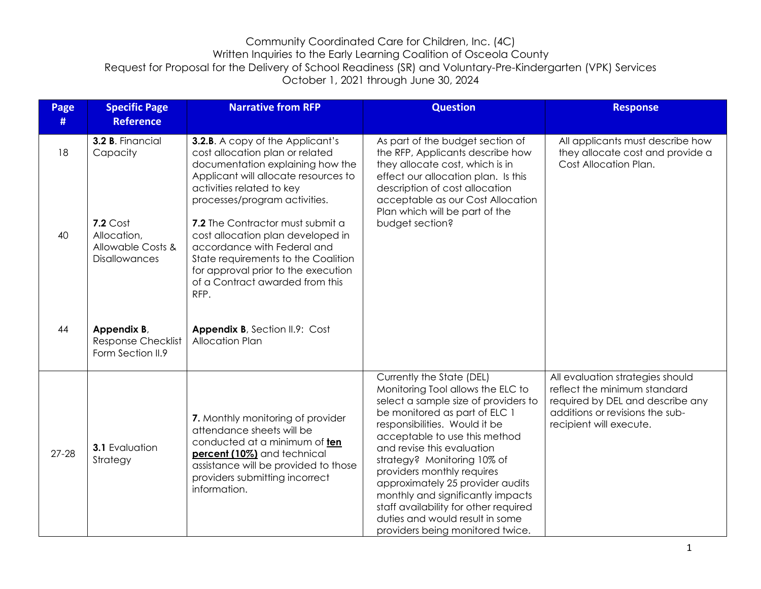| Page<br># | <b>Specific Page</b><br><b>Reference</b>                                                               | <b>Narrative from RFP</b>                                                                                                                                                                                                                                                                                                                                                                                  | <b>Question</b>                                                                                                                                                                                                                                                                                                                                                                                                                                                                               | <b>Response</b>                                                                                                                                                    |
|-----------|--------------------------------------------------------------------------------------------------------|------------------------------------------------------------------------------------------------------------------------------------------------------------------------------------------------------------------------------------------------------------------------------------------------------------------------------------------------------------------------------------------------------------|-----------------------------------------------------------------------------------------------------------------------------------------------------------------------------------------------------------------------------------------------------------------------------------------------------------------------------------------------------------------------------------------------------------------------------------------------------------------------------------------------|--------------------------------------------------------------------------------------------------------------------------------------------------------------------|
| 18<br>40  | 3.2 B. Financial<br>Capacity<br>$7.2$ Cost<br>Allocation,<br>Allowable Costs &<br><b>Disallowances</b> | <b>3.2.B.</b> A copy of the Applicant's<br>cost allocation plan or related<br>documentation explaining how the<br>Applicant will allocate resources to<br>activities related to key<br>processes/program activities.<br>7.2 The Contractor must submit a<br>cost allocation plan developed in<br>accordance with Federal and<br>State requirements to the Coalition<br>for approval prior to the execution | As part of the budget section of<br>the RFP, Applicants describe how<br>they allocate cost, which is in<br>effect our allocation plan. Is this<br>description of cost allocation<br>acceptable as our Cost Allocation<br>Plan which will be part of the<br>budget section?                                                                                                                                                                                                                    | All applicants must describe how<br>they allocate cost and provide a<br>Cost Allocation Plan.                                                                      |
| 44        | Appendix B,<br><b>Response Checklist</b><br>Form Section II.9                                          | of a Contract awarded from this<br>RFP.<br>Appendix B, Section II.9: Cost<br>Allocation Plan                                                                                                                                                                                                                                                                                                               |                                                                                                                                                                                                                                                                                                                                                                                                                                                                                               |                                                                                                                                                                    |
| $27 - 28$ | <b>3.1 Evaluation</b><br>Strategy                                                                      | 7. Monthly monitoring of provider<br>attendance sheets will be<br>conducted at a minimum of ten<br>percent (10%) and technical<br>assistance will be provided to those<br>providers submitting incorrect<br>information.                                                                                                                                                                                   | Currently the State (DEL)<br>Monitoring Tool allows the ELC to<br>select a sample size of providers to<br>be monitored as part of ELC 1<br>responsibilities. Would it be<br>acceptable to use this method<br>and revise this evaluation<br>strategy? Monitoring 10% of<br>providers monthly requires<br>approximately 25 provider audits<br>monthly and significantly impacts<br>staff availability for other required<br>duties and would result in some<br>providers being monitored twice. | All evaluation strategies should<br>reflect the minimum standard<br>required by DEL and describe any<br>additions or revisions the sub-<br>recipient will execute. |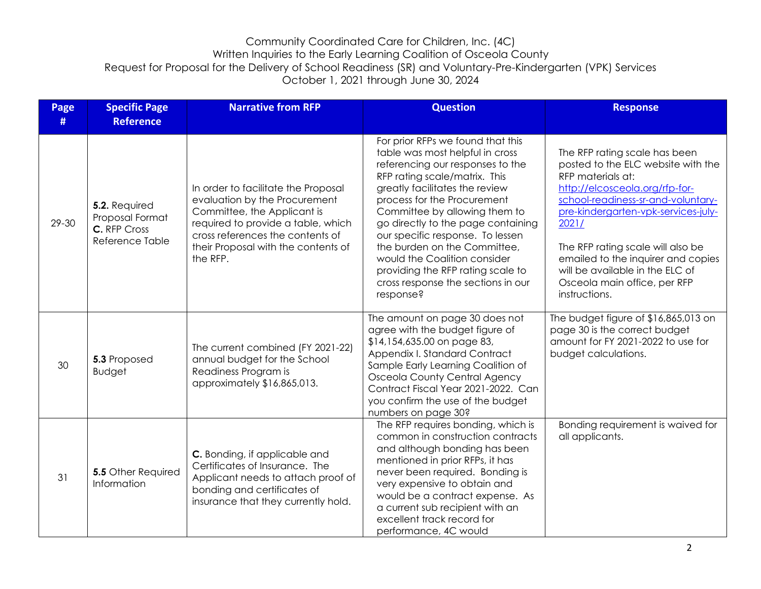| Page<br># | <b>Specific Page</b><br><b>Reference</b>                            | <b>Narrative from RFP</b>                                                                                                                                                                                                        | <b>Question</b>                                                                                                                                                                                                                                                                                                                                                                                                                                                               | <b>Response</b>                                                                                                                                                                                                                                                                                                                                                                 |
|-----------|---------------------------------------------------------------------|----------------------------------------------------------------------------------------------------------------------------------------------------------------------------------------------------------------------------------|-------------------------------------------------------------------------------------------------------------------------------------------------------------------------------------------------------------------------------------------------------------------------------------------------------------------------------------------------------------------------------------------------------------------------------------------------------------------------------|---------------------------------------------------------------------------------------------------------------------------------------------------------------------------------------------------------------------------------------------------------------------------------------------------------------------------------------------------------------------------------|
| 29-30     | 5.2. Required<br>Proposal Format<br>C. RFP Cross<br>Reference Table | In order to facilitate the Proposal<br>evaluation by the Procurement<br>Committee, the Applicant is<br>required to provide a table, which<br>cross references the contents of<br>their Proposal with the contents of<br>the RFP. | For prior RFPs we found that this<br>table was most helpful in cross<br>referencing our responses to the<br>RFP rating scale/matrix. This<br>greatly facilitates the review<br>process for the Procurement<br>Committee by allowing them to<br>go directly to the page containing<br>our specific response. To lessen<br>the burden on the Committee,<br>would the Coalition consider<br>providing the RFP rating scale to<br>cross response the sections in our<br>response? | The RFP rating scale has been<br>posted to the ELC website with the<br>RFP materials at:<br>http://elcosceola.org/rfp-for-<br>school-readiness-sr-and-voluntary-<br>pre-kindergarten-vpk-services-july-<br>2021/<br>The RFP rating scale will also be<br>emailed to the inquirer and copies<br>will be available in the ELC of<br>Osceola main office, per RFP<br>instructions. |
| 30        | 5.3 Proposed<br><b>Budget</b>                                       | The current combined (FY 2021-22)<br>annual budget for the School<br>Readiness Program is<br>approximately \$16,865,013.                                                                                                         | The amount on page 30 does not<br>agree with the budget figure of<br>\$14,154,635.00 on page 83,<br>Appendix I. Standard Contract<br>Sample Early Learning Coalition of<br><b>Osceola County Central Agency</b><br>Contract Fiscal Year 2021-2022. Can<br>you confirm the use of the budget<br>numbers on page 30?                                                                                                                                                            | The budget figure of \$16,865,013 on<br>page 30 is the correct budget<br>amount for FY 2021-2022 to use for<br>budget calculations.                                                                                                                                                                                                                                             |
| 31        | <b>5.5 Other Required</b><br>Information                            | C. Bonding, if applicable and<br>Certificates of Insurance. The<br>Applicant needs to attach proof of<br>bonding and certificates of<br>insurance that they currently hold.                                                      | The RFP requires bonding, which is<br>common in construction contracts<br>and although bonding has been<br>mentioned in prior RFPs, it has<br>never been required. Bonding is<br>very expensive to obtain and<br>would be a contract expense. As<br>a current sub recipient with an<br>excellent track record for<br>performance, 4C would                                                                                                                                    | Bonding requirement is waived for<br>all applicants.                                                                                                                                                                                                                                                                                                                            |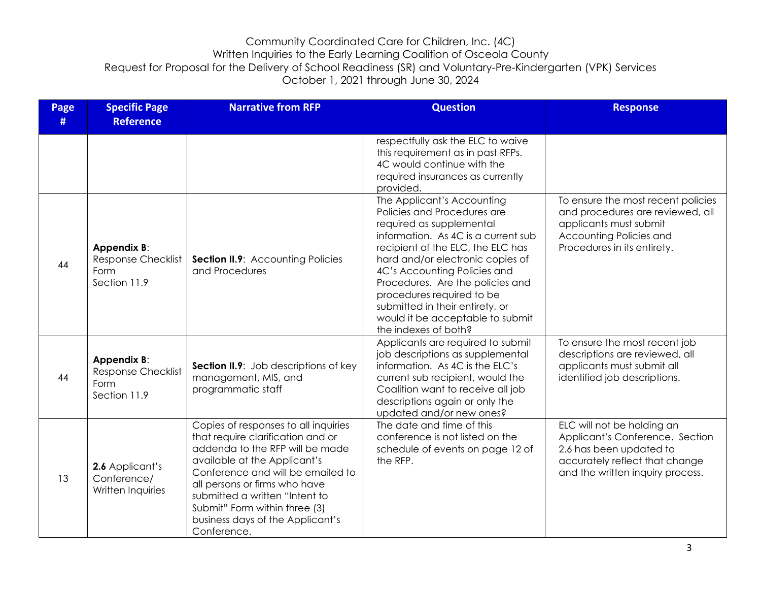| Page<br># | <b>Specific Page</b><br><b>Reference</b>                         | <b>Narrative from RFP</b>                                                                                                                                                                                                                                                                                                                | <b>Question</b>                                                                                                                                                                                                                                                                                                                                                                                       | <b>Response</b>                                                                                                                                                |
|-----------|------------------------------------------------------------------|------------------------------------------------------------------------------------------------------------------------------------------------------------------------------------------------------------------------------------------------------------------------------------------------------------------------------------------|-------------------------------------------------------------------------------------------------------------------------------------------------------------------------------------------------------------------------------------------------------------------------------------------------------------------------------------------------------------------------------------------------------|----------------------------------------------------------------------------------------------------------------------------------------------------------------|
|           |                                                                  |                                                                                                                                                                                                                                                                                                                                          | respectfully ask the ELC to waive<br>this requirement as in past RFPs.<br>4C would continue with the<br>required insurances as currently<br>provided.                                                                                                                                                                                                                                                 |                                                                                                                                                                |
| 44        | Appendix B:<br><b>Response Checklist</b><br>Form<br>Section 11.9 | <b>Section II.9:</b> Accounting Policies<br>and Procedures                                                                                                                                                                                                                                                                               | The Applicant's Accounting<br>Policies and Procedures are<br>required as supplemental<br>information. As 4C is a current sub<br>recipient of the ELC, the ELC has<br>hard and/or electronic copies of<br>4C's Accounting Policies and<br>Procedures. Are the policies and<br>procedures required to be<br>submitted in their entirety, or<br>would it be acceptable to submit<br>the indexes of both? | To ensure the most recent policies<br>and procedures are reviewed, all<br>applicants must submit<br>Accounting Policies and<br>Procedures in its entirety.     |
| 44        | Appendix B:<br><b>Response Checklist</b><br>Form<br>Section 11.9 | Section II.9: Job descriptions of key<br>management, MIS, and<br>programmatic staff                                                                                                                                                                                                                                                      | Applicants are required to submit<br>job descriptions as supplemental<br>information. As 4C is the ELC's<br>current sub recipient, would the<br>Coalition want to receive all job<br>descriptions again or only the<br>updated and/or new ones?                                                                                                                                                       | To ensure the most recent job<br>descriptions are reviewed, all<br>applicants must submit all<br>identified job descriptions.                                  |
| 13        | 2.6 Applicant's<br>Conference/<br>Written Inquiries              | Copies of responses to all inquiries<br>that require clarification and or<br>addenda to the RFP will be made<br>available at the Applicant's<br>Conference and will be emailed to<br>all persons or firms who have<br>submitted a written "Intent to<br>Submit" Form within three (3)<br>business days of the Applicant's<br>Conference. | The date and time of this<br>conference is not listed on the<br>schedule of events on page 12 of<br>the RFP.                                                                                                                                                                                                                                                                                          | ELC will not be holding an<br>Applicant's Conference. Section<br>2.6 has been updated to<br>accurately reflect that change<br>and the written inquiry process. |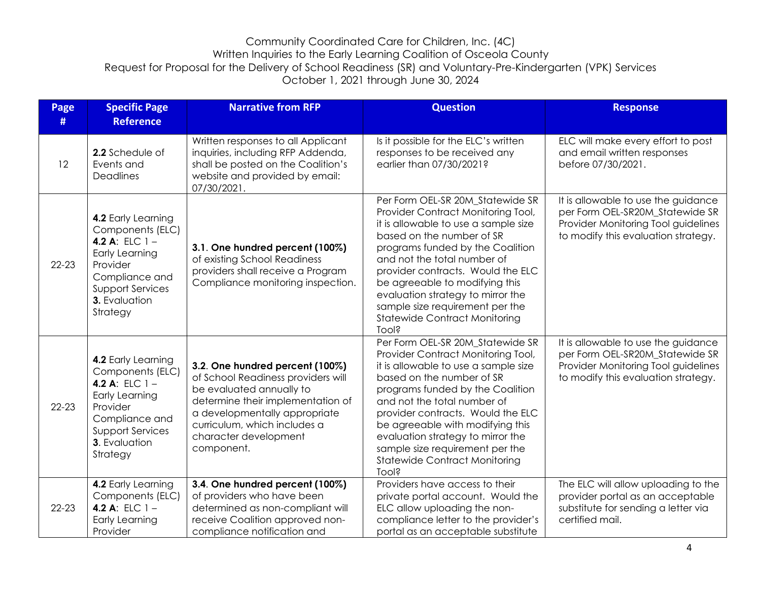| Page<br># | <b>Specific Page</b><br><b>Reference</b>                                                                                                                                  | <b>Narrative from RFP</b>                                                                                                                                                                                                                      | <b>Question</b>                                                                                                                                                                                                                                                                                                                                                                                                  | <b>Response</b>                                                                                                                                      |
|-----------|---------------------------------------------------------------------------------------------------------------------------------------------------------------------------|------------------------------------------------------------------------------------------------------------------------------------------------------------------------------------------------------------------------------------------------|------------------------------------------------------------------------------------------------------------------------------------------------------------------------------------------------------------------------------------------------------------------------------------------------------------------------------------------------------------------------------------------------------------------|------------------------------------------------------------------------------------------------------------------------------------------------------|
| 12        | 2.2 Schedule of<br>Events and<br>Deadlines                                                                                                                                | Written responses to all Applicant<br>inquiries, including RFP Addenda,<br>shall be posted on the Coalition's<br>website and provided by email:<br>07/30/2021.                                                                                 | Is it possible for the ELC's written<br>responses to be received any<br>earlier than 07/30/2021?                                                                                                                                                                                                                                                                                                                 | ELC will make every effort to post<br>and email written responses<br>before 07/30/2021.                                                              |
| $22 - 23$ | 4.2 Early Learning<br>Components (ELC)<br>4.2 A: ELC $1 -$<br><b>Early Learning</b><br>Provider<br>Compliance and<br><b>Support Services</b><br>3. Evaluation<br>Strategy | 3.1. One hundred percent (100%)<br>of existing School Readiness<br>providers shall receive a Program<br>Compliance monitoring inspection.                                                                                                      | Per Form OEL-SR 20M_Statewide SR<br>Provider Contract Monitoring Tool,<br>it is allowable to use a sample size<br>based on the number of SR<br>programs funded by the Coalition<br>and not the total number of<br>provider contracts. Would the ELC<br>be agreeable to modifying this<br>evaluation strategy to mirror the<br>sample size requirement per the<br><b>Statewide Contract Monitoring</b><br>Tool?   | It is allowable to use the guidance<br>per Form OEL-SR20M Statewide SR<br>Provider Monitoring Tool guidelines<br>to modify this evaluation strategy. |
| $22 - 23$ | 4.2 Early Learning<br>Components (ELC)<br>4.2 A: ELC $1 -$<br>Early Learning<br>Provider<br>Compliance and<br><b>Support Services</b><br>3. Evaluation<br>Strategy        | 3.2. One hundred percent (100%)<br>of School Readiness providers will<br>be evaluated annually to<br>determine their implementation of<br>a developmentally appropriate<br>curriculum, which includes a<br>character development<br>component. | Per Form OEL-SR 20M_Statewide SR<br>Provider Contract Monitoring Tool,<br>it is allowable to use a sample size<br>based on the number of SR<br>programs funded by the Coalition<br>and not the total number of<br>provider contracts. Would the ELC<br>be agreeable with modifying this<br>evaluation strategy to mirror the<br>sample size requirement per the<br><b>Statewide Contract Monitoring</b><br>Tool? | It is allowable to use the guidance<br>per Form OEL-SR20M_Statewide SR<br>Provider Monitoring Tool guidelines<br>to modify this evaluation strategy. |
| $22 - 23$ | 4.2 Early Learning<br>Components (ELC)<br>4.2 A: ELC $1 -$<br><b>Early Learning</b><br>Provider                                                                           | 3.4. One hundred percent (100%)<br>of providers who have been<br>determined as non-compliant will<br>receive Coalition approved non-<br>compliance notification and                                                                            | Providers have access to their<br>private portal account. Would the<br>ELC allow uploading the non-<br>compliance letter to the provider's<br>portal as an acceptable substitute                                                                                                                                                                                                                                 | The ELC will allow uploading to the<br>provider portal as an acceptable<br>substitute for sending a letter via<br>certified mail.                    |